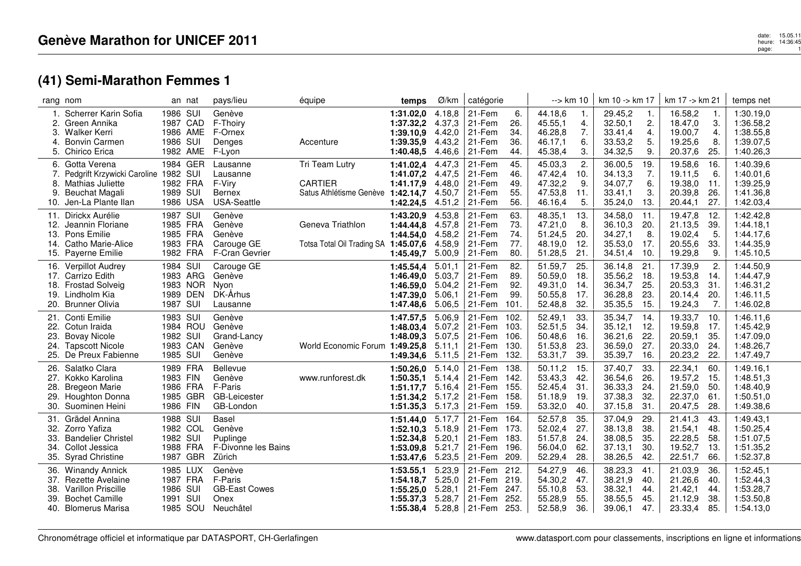## **(41) Semi-Marathon Femmes 1**

|                                        | rang nom                                                                                                               |                                                          | an nat               | pays/lieu                                                             | équipe                                                      | temps                                                                           | Ø/km                                           | catégorie                                      |                                       | --> km 10                                           |                                 | $km 10 - k m 17$                                    |                                  | km 17 -> km 21                                      |                                 | temps net                                                     |
|----------------------------------------|------------------------------------------------------------------------------------------------------------------------|----------------------------------------------------------|----------------------|-----------------------------------------------------------------------|-------------------------------------------------------------|---------------------------------------------------------------------------------|------------------------------------------------|------------------------------------------------|---------------------------------------|-----------------------------------------------------|---------------------------------|-----------------------------------------------------|----------------------------------|-----------------------------------------------------|---------------------------------|---------------------------------------------------------------|
| $\mathbf{1}$ .<br>2.<br>3.<br>4.<br>5. | Scherrer Karin Sofia<br>Green Annika<br>Walker Kerri<br><b>Bonvin Carmen</b><br>Chirico Erica                          | 1986 SUI<br>1987 CAD<br>1986 SUI                         | 1986 AME<br>1982 AME | Genève<br>F-Thoiry<br>F-Ornex<br>Denges<br>F-Lyon                     | Accenture                                                   | 1:31.02,0<br>1:37.32,2<br>1:39.10.9<br>1:39.35,9<br>1:40.48,5                   | 4.18,8<br>4.37,3<br>4.42,0<br>4.43,2<br>4.46,6 | 21-Fem<br>21-Fem<br>21-Fem<br>21-Fem<br>21-Fem | 6.<br>26.<br>34.<br>36.<br>44.        | 44.18.6<br>45.55,1<br>46.28,8<br>46.17,1<br>45.38,4 | -1.<br>4.<br>7.<br>6.<br>3.     | 29.45,2<br>32.50,1<br>33.41,4<br>33.53,2<br>34.32,5 | -1.<br>2.<br>4.<br>5.<br>9.      | 16.58,2<br>18.47,0<br>19.00,7<br>19.25,6<br>20.37,6 | -1.<br>3.<br>4.<br>8.<br>25.    | 1:30.19,0<br>1:36.58,2<br>1:38.55,8<br>1:39.07,5<br>1:40.26,3 |
| 6.<br>7.<br>8.<br>9.<br>10.            | Gotta Verena<br>Pedgrift Krzywicki Caroline 1982 SUI<br>Mathias Juliette<br>Beuchat Magali<br>Jen-La Plante Ilan       | 1982 FRA<br>1989 SUI<br>1986 USA                         | 1984 GER             | Lausanne<br>Lausanne<br>F-Viry<br><b>Bernex</b><br><b>USA-Seattle</b> | Tri Team Lutry<br><b>CARTIER</b><br>Satus Athlétisme Genève | 1:41.02,4<br>1:41.07,2<br>1:41.17,9<br>1:42.14,7<br>1:42.24,5                   | 4.47,3<br>4.47,5<br>4.48,0<br>4.50,7<br>4.51,2 | 21-Fem<br>21-Fem<br>21-Fem<br>21-Fem<br>21-Fem | 45.<br>46.<br>49.<br>55.<br>56.       | 45.03,3<br>47.42,4<br>47.32,2<br>47.53,8<br>46.16,4 | 2.<br>10.<br>9.<br>11.<br>5.    | 36.00,5<br>34.13,3<br>34.07,7<br>33.41,1<br>35.24,0 | 19.<br>7.<br>6.<br>3.<br>13.     | 19.58,6<br>19.11,5<br>19.38,0<br>20.39,8<br>20.44,1 | 16.<br>6.<br>11.<br>26.<br>27.  | 1:40.39,6<br>1:40.01,6<br>1:39.25,9<br>1:41.36,8<br>1:42.03,4 |
| 11.<br>12.<br>14.                      | Dirickx Aurélie<br>Jeannin Floriane<br>13. Pons Emilie<br><b>Catho Marie-Alice</b><br>15. Payerne Emilie               | 1987 SUI<br>1985 FRA<br>1985 FRA<br>1983 FRA<br>1982 FRA |                      | Genève<br>Genève<br>Genève<br>Carouge GE<br>F-Cran Gevrier            | Geneva Triathlon<br>Totsa Total Oil Trading SA 1:45.07,6    | 1:43.20,9<br>1:44.44,8<br>1:44.54.0<br>1:45.49,7                                | 4.53,8<br>4.57,8<br>4.58,2<br>4.58,9<br>5.00,9 | 21-Fem<br>21-Fem<br>21-Fem<br>21-Fem<br>21-Fem | 63.<br>73.<br>74.<br>77.<br>80.       | 48.35,1<br>47.21,0<br>51.24,5<br>48.19,0<br>51.28,5 | -13.<br>8.<br>20.<br>12.<br>21. | 34.58,0<br>36.10,3<br>34.27,1<br>35.53,0<br>34.51,4 | 11.<br>20.<br>8.<br>17.<br>10.   | 19.47,8<br>21.13,5<br>19.02,4<br>20.55,6<br>19.29,8 | -12.<br>39.<br>5.<br>33.<br>9.  | 1:42.42,8<br>1:44.18,1<br>1:44.17.6<br>1:44.35,9<br>1:45.10,5 |
| 16.<br>18.<br>19.                      | Verpillot Audrey<br>17. Carrizo Edith<br><b>Frostad Solveig</b><br>Lindholm Kia<br>20. Brunner Olivia                  | 1984 SUI<br>1989 DEN<br>1987 SUI                         | 1983 ARG<br>1983 NOR | Carouge GE<br>Genève<br>Nyon<br>DK-Århus<br>Lausanne                  |                                                             | 1:45.54,4<br>1:46.49,0<br>1:46.59,0<br>1:47.39,0<br>1:47.48.6                   | 5.01,1<br>5.03,7<br>5.04,2<br>5.06.1<br>5.06,5 | 21-Fem<br>21-Fem<br>21-Fem<br>21-Fem<br>21-Fem | 82.<br>89.<br>92.<br>99.<br>101.      | 51.59,7<br>50.59,0<br>49.31,0<br>50.55,8<br>52.48,8 | 25.<br>18.<br>14.<br>17.<br>32. | 36.14,8<br>35.56,2<br>36.34,7<br>36.28,8<br>35.35,5 | 21.<br>18.<br>25.<br>23.<br>-15. | 17.39,9<br>19.53,8<br>20.53,3<br>20.14,4<br>19.24,3 | 2.<br>14.<br>31.<br>20.<br>7.   | 1:44.50,9<br>1:44.47,9<br>1:46.31,2<br>1:46.11,5<br>1:46.02,8 |
| 21.<br>23.<br>24.                      | Conti Emilie<br>22. Cotun Iraida<br><b>Bovay Nicole</b><br><b>Tapscott Nicole</b><br>25. De Preux Fabienne             | 1983 SUI<br>1982 SUI<br>1983 CAN<br>1985 SUI             | 1984 ROU             | Genève<br>Genève<br>Grand-Lancy<br>Genève<br>Genève                   | World Economic Forum 1:49.25,8                              | 1:47.57,5<br>1:48.03.4<br>1:48.09,3<br>1:49.34,6                                | 5.06,9<br>5.07,2<br>5.07,5<br>5.11,1<br>5.11,5 | 21-Fem<br>21-Fem<br>21-Fem<br>21-Fem<br>21-Fem | 102.<br>103.<br>106.<br>130.<br>132.  | 52.49,1<br>52.51,5<br>50.48,6<br>51.53,8<br>53.31,7 | 33.<br>34.<br>16.<br>23.<br>39. | 35.34,7<br>35.12,1<br>36.21,6<br>36.59,0<br>35.39,7 | 14.<br>12.<br>22.<br>27.<br>16.  | 19.33,7<br>19.59,8<br>20.59,1<br>20.33,0<br>20.23,2 | 10.<br>17.<br>35.<br>24.<br>22. | 1:46.11,6<br>1:45.42,9<br>1:47.09,0<br>1:48.26,7<br>1:47.49,7 |
| 26.<br>28.                             | Salatko Clara<br>27. Kokko Karolina<br><b>Bregeon Marie</b><br><b>Houghton Donna</b><br>30. Suominen Heini             | 1989 FRA<br>1983 FIN<br>1986 FRA<br>1986 FIN             | 1985 GBR             | Bellevue<br>Genève<br>F-Paris<br><b>GB-Leicester</b><br>GB-London     | www.runforest.dk                                            | 1:50.26,0<br>1:50.35,1<br>1:51.17.7<br>1:51.34,2<br>1:51.35,3                   | 5.14,0<br>5.14,4<br>5.16,4<br>5.17,2<br>5.17,3 | 21-Fem<br>21-Fem<br>21-Fem<br>21-Fem<br>21-Fem | 138.<br>142.<br>155.<br>158.<br>159.  | 50.11,2<br>53.43,3<br>52.45,4<br>51.18,9<br>53.32,0 | 15.<br>42.<br>31.<br>19.<br>40. | 37.40,7<br>36.54,6<br>36.33,3<br>37.38,3<br>37.15,8 | 33.<br>26.<br>24.<br>32.<br>31.  | 22.34,1<br>19.57,2<br>21.59,0<br>22.37,0<br>20.47,5 | 60.<br>15.<br>50.<br>61<br>28.  | 1:49.16,1<br>1:48.51.3<br>1:48.40,9<br>1:50.51,0<br>1:49.38,6 |
| 31.<br>33.<br>34.<br>35.               | Grädel Annina<br>32. Zorro Yafiza<br><b>Bandelier Christel</b><br>Collot Jessica<br><b>Syrad Christine</b>             | 1988 SUI<br>1982 COL<br>1982 SUI<br>1988 FRA             | 1987 GBR             | <b>Basel</b><br>Genève<br>Puplinge<br>F-Divonne les Bains<br>Zürich   |                                                             | 1:51.44,0<br>1:52.10.3<br>1:52.34,8<br>1:53.09,8<br>1:53.47,6                   | 5.17,7<br>5.18.9<br>5.20,1<br>5.21,7<br>5.23,5 | 21-Fem<br>21-Fem<br>21-Fem<br>21-Fem<br>21-Fem | 164.<br>-173.<br>183.<br>196.<br>209. | 52.57,8<br>52.02,4<br>51.57,8<br>56.04,0<br>52.29,4 | 35.<br>27.<br>24.<br>62.<br>28. | 37.04,9<br>38.13,8<br>38.08,5<br>37.13,1<br>38.26,5 | 29.<br>38.<br>35.<br>30.<br>42.  | 21.41,3<br>21.54,1<br>22.28,5<br>19.52,7<br>22.51,7 | 43.<br>48.<br>58.<br>13.<br>66. | 1:49.43,1<br>1:50.25,4<br>1:51.07,5<br>1:51.35,2<br>1:52.37,8 |
| 36.<br>37.<br>38.<br>39.               | <b>Winandy Annick</b><br><b>Rezette Avelaine</b><br>Varillon Priscille<br><b>Bochet Camille</b><br>40. Blomerus Marisa | 1985 LUX<br>1987 FRA<br>1986 SUI<br>1991 SUI             | 1985 SOU             | Genève<br>F-Paris<br><b>GB-East Cowes</b><br>Onex<br>Neuchâtel        |                                                             | 1:53.55,1<br>1:54.18.7<br>1:55.25,0<br>1:55.37,3<br>1:55.38,4 $5.28,8$   21-Fem | 5.23,9<br>5.25,0<br>5.28,1<br>5.28,7           | 21-Fem<br>21-Fem<br>21-Fem<br>21-Fem           | 212.<br>219.<br>247.<br>252.<br>253.  | 54.27,9<br>54.30,2<br>55.10,8<br>55.28,9<br>52.58,9 | 46.<br>47.<br>53.<br>55.<br>36. | 38.23,3<br>38.21,9<br>38.32,1<br>38.55,5<br>39.06,1 | 41.<br>40.<br>44.<br>45.<br>47.  | 21.03,9<br>21.26,6<br>21.42,1<br>21.12,9<br>23.33,4 | 36.<br>40.<br>44.<br>38.<br>85. | 1:52.45,1<br>1:52.44,3<br>1:53.28,7<br>1:53.50,8<br>1:54.13,0 |

date: 15.05.11<br>heure: 14:36:45<br>page: 14:36:45 page:1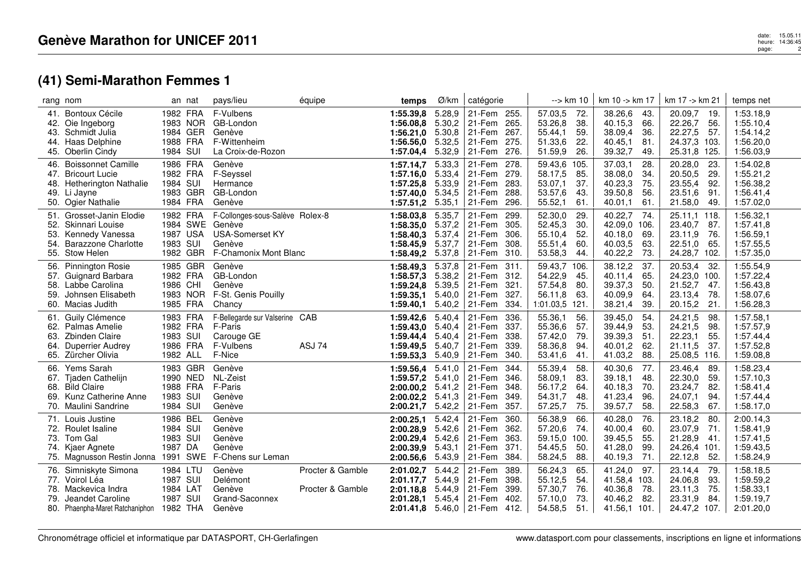## **(41) Semi-Marathon Femmes 1**

|                   | rang nom                                                                                                          |                                                          | an nat   | pays/lieu                                                                                                              | équipe                               | temps                                                                       | Ø/km                                           | catégorie                                                                              |                              | --> km 10                                             |                                   | km 10 -> km 17                                                |                                  | km 17 -> km 21                                                |                                  | temps net                                                     |
|-------------------|-------------------------------------------------------------------------------------------------------------------|----------------------------------------------------------|----------|------------------------------------------------------------------------------------------------------------------------|--------------------------------------|-----------------------------------------------------------------------------|------------------------------------------------|----------------------------------------------------------------------------------------|------------------------------|-------------------------------------------------------|-----------------------------------|---------------------------------------------------------------|----------------------------------|---------------------------------------------------------------|----------------------------------|---------------------------------------------------------------|
| 41.<br>44.        | Bontoux Cécile<br>42. Oie Ingeborg<br>43. Schmidt Julia<br>Haas Delphine<br>45. Oberlin Cindy                     | 1982 FRA<br>1984 GER<br>1988 FRA<br>1984 SUI             | 1983 NOR | F-Vulbens<br>GB-London<br>Genève<br>F-Wittenheim<br>La Croix-de-Rozon                                                  |                                      | 1:55.39,8<br>1:56.08.8 5.30,2<br>1:56.21.0<br>1:56.56,0<br>1:57.04,4        | 5.28,9<br>5.30,8<br>5.32,5<br>5.32,9           | 21-Fem 255.<br>265.<br>21-Fem<br>21-Fem<br>275.<br>21-Fem<br>$ 21-Fem $<br>276.        | 267.                         | 57.03,5<br>53.26,8<br>55.44,1<br>51.33,6<br>51.59,9   | 72.<br>38.<br>59.<br>22.<br>26.   | 38.26,6<br>40.15,3<br>38.09,4<br>40.45,1<br>39.32,7           | -43.<br>66.<br>36.<br>81.<br>49. | 20.09,7<br>22.26,7<br>22.27,5<br>24.37,3 103.<br>25.31,8 125. | -19.<br>56.<br>-57.              | 1:53.18,9<br>1:55.10,4<br>1:54.14,2<br>1:56.20,0<br>1:56.03,9 |
| 46.<br>47.<br>48. | <b>Boissonnet Camille</b><br><b>Bricourt Lucie</b><br>Hetherington Nathalie<br>49. Li Jayne<br>50. Ogier Nathalie | 1986 FRA<br>1982 FRA<br>1984 SUI<br>1983 GBR<br>1984 FRA |          | Genève<br>F-Seyssel<br>Hermance<br>GB-London<br>Genève                                                                 |                                      | 1:57.14.7<br>1:57.16,0 5.33,4<br>1:57.25,8<br>1:57.40,0 5.34,5<br>1:57.51.2 | 5.33,3<br>5.33,9<br>5.35,1                     | 21-Fem<br>278.<br>279.<br>21-Fem<br>21-Fem<br>21-Fem<br>21-Fem                         | 283.<br>288.<br>296.         | 59.43,6<br>58.17,5<br>53.07,1<br>53.57,6<br>55.52,1   | 105.<br>85.<br>37.<br>43.<br>61.  | 37.03,1<br>38.08,0<br>40.23,3<br>39.50,8<br>40.01,1           | 28.<br>34.<br>75.<br>56.<br>61.  | 20.28,0<br>20.50,5<br>23.55,4<br>23.51,6<br>21.58,0           | 23.<br>29.<br>92.<br>91.<br>-49. | 1:54.02,8<br>1:55.21,2<br>1:56.38,2<br>1:56.41,4<br>1:57.02,0 |
| 52.<br>53.<br>54. | 51. Grosset-Janin Elodie<br>Skinnari Louise<br>Kennedy Vanessa<br><b>Barazzone Charlotte</b><br>55. Stow Helen    | 1982 FRA<br>1987 USA<br>1983 SUI<br>1982 GBR             |          | F-Collonges-sous-Salève Rolex-8<br>1984 SWE Genève<br><b>USA-Somerset KY</b><br>Genève<br><b>F-Chamonix Mont Blanc</b> |                                      | 1:58.03,8<br>1:58.35,0<br>1:58.40,3<br>1:58.45,9 5.37,7<br>1:58.49,2        | 5.35,7<br>5.37,2<br>5.37,4<br>5.37,8           | 21-Fem<br>299.<br>21-Fem<br>306.<br>21-Fem<br>21-Fem<br>21-Fem                         | 305.<br>308.<br>310.         | 52.30,0<br>52.45,3<br>55.10,4<br>55.51,4<br>53.58,3   | 29.<br>30.<br>52.<br>60.<br>44.   | 40.22,7<br>42.09,0 106.<br>40.18,0<br>40.03,5<br>40.22,2      | 74.<br>69.<br>63.<br>73.         | 25.11,1 118.<br>23.40,7<br>23.11,9<br>22.51,0<br>24.28,7 102. | 87.<br>-76.<br>65.               | 1:56.32,1<br>1:57.41,8<br>1:56.59,1<br>1:57.55,5<br>1:57.35,0 |
| 56.<br>58.<br>59. | <b>Pinnington Rosie</b><br>57. Guignard Barbara<br>Labbe Carolina<br>Johnsen Elisabeth<br>60. Macias Judith       | 1985 GBR<br>1982 FRA<br>1986 CHI<br>1985 FRA             | 1983 NOR | Genève<br>GB-London<br>Genève<br>F-St. Genis Pouilly<br>Chancy                                                         |                                      | 1:58.49.3<br>1:58.57,3<br>1:59.24,8<br>1:59.35,1<br>1:59.40.1               | 5.37,8<br>5.38,2<br>5.39,5<br>5.40,0<br>5.40,2 | 21-Fem 311.<br>312.<br>21-Fem<br>21-Fem<br>327.<br>21-Fem<br>  21-Fem                  | 321.<br>334.                 | 59.43,7<br>54.22,9<br>57.54,8<br>56.11,8<br>1:01.03,5 | 106.<br>45.<br>80.<br>63.<br>121. | 38.12,2<br>40.11,4<br>39.37,3<br>40.09,9<br>38.21,4           | 37.<br>65.<br>50.<br>64.<br>39.  | 20.53,4<br>24.23,0 100.<br>21.52,7<br>23.13,4<br>20.15,2      | -32.<br>47.<br>78.<br>21.        | 1:55.54,9<br>1:57.22,4<br>1:56.43,8<br>1:58.07,6<br>1:56.28,3 |
| 62.<br>63.<br>64. | 61. Guily Clémence<br>Palmas Amelie<br><b>Zbinden Claire</b><br><b>Duperrier Audrey</b><br>65. Zürcher Olivia     | 1983 FRA<br>1982 FRA<br>1983 SUI<br>1986 FRA<br>1982 ALL |          | F-Bellegarde sur Valserine CAB<br>F-Paris<br>Carouge GE<br>F-Vulbens<br>F-Nice                                         | ASJ 74                               | 1:59.42,6<br>1:59.43,0<br>1:59.44,4<br>1:59.49,5 5.40,7<br>1:59.53,3        | 5.40,4<br>5.40,4<br>5.40,4<br>5.40,9           | 21-Fem<br>336.<br>21-Fem<br>21-Fem<br>21-Fem<br>339.<br>21-Fem                         | 337.<br>338.<br>340.         | 55.36,1<br>55.36,6<br>57.42,0<br>58.36,8<br>53.41,6   | 56.<br>57.<br>79.<br>94.<br>41.   | 39.45,0<br>39.44,9<br>39.39,3<br>40.01,2<br>41.03,2           | 54.<br>53.<br>51.<br>62.<br>88.  | 24.21,5<br>24.21,5<br>22.23,1<br>21.11,5<br>25.08,5 116.      | 98.<br>98.<br>55.<br>37.         | 1:57.58,1<br>1:57.57,9<br>1:57.44,4<br>1:57.52,8<br>1:59.08,8 |
| 67.<br>68.<br>69. | 66. Yems Sarah<br>Tjaden Cathelijn<br><b>Bild Claire</b><br>Kunz Catherine Anne<br>70. Maulini Sandrine           | 1983 GBR<br>1990 NED<br>1988 FRA<br>1983 SUI<br>1984 SUI |          | Genève<br>NL-Zeist<br>F-Paris<br>Genève<br>Genève                                                                      |                                      | 1:59.56,4<br>1:59.57,2<br>2:00.00,2<br>$2:00.02,2$ 5.41,3<br>2:00.21,7      | 5.41,0<br>5.41,0<br>5.41,2<br>5.42,2           | 21-Fem<br>344.<br>21-Fem<br>21-Fem<br>21-Fem<br>  21-Fem                               | 346.<br>348.<br>349.<br>357. | 55.39,4<br>58.09,1<br>56.17,2<br>54.31,7<br>57.25,7   | 58.<br>83.<br>64.<br>48.<br>75.   | 40.30,6<br>39.18,1<br>40.18,3<br>41.23,4<br>39.57,7           | -77.<br>48.<br>70.<br>96.<br>58. | 23.46,4<br>22.30,0<br>23.24,7<br>24.07,1<br>22.58,3           | 89.<br>59.<br>-82.<br>94.<br>67. | 1:58.23,4<br>1:57.10,3<br>1:58.41,4<br>1:57.44,4<br>1:58.17,0 |
| 73.<br>75.        | 71. Louis Justine<br>72. Roulet Isaline<br>Tom Gal<br>74. Kjaer Agnete<br>Magnusson Restin Jonna 1991             | 1986 BEL<br>1984 SUI<br>1983 SUI<br>1987 DA              |          | Genève<br>Genève<br>Genève<br>Genève<br>SWE F-Chens sur Leman                                                          |                                      | 2:00.25,1<br>2:00.28,9<br>2:00.29,4<br>2:00.39.9<br>2:00.56,6               | 5.42,4<br>5.42,6<br>5.42,6<br>5.43,1<br>5.43,9 | 21-Fem<br>360.<br>362.<br>21-Fem<br>21-Fem<br>21-Fem<br>371.<br>21-Fem                 | 363.<br>384.                 | 56.38,9<br>57.20,6<br>59.15,0<br>54.45,5<br>58.24,5   | 66.<br>74.<br>100.<br>50.<br>88.  | 40.28,0<br>40.00,4<br>39.45,5<br>41.28,0<br>40.19,3           | 76.<br>60.<br>55.<br>99.<br>71.  | 23.18,2<br>23.07,9<br>21.28,9<br>24.26,4 101.<br>22.12,8      | 80.<br>71.<br>41.<br>52.         | 2:00.14,3<br>1:58.41,9<br>1:57.41,5<br>1:59.43,5<br>1:58.24,9 |
| 77.<br>78.        | 76. Simniskyte Simona<br>Voirol Léa<br>Mackevica Indra<br>79. Jeandet Caroline<br>80. Phaenpha-Maret Ratchaniphon | 1984 LTU<br>1987 SUI<br>1984 LAT<br>1987 SUI<br>1982 THA |          | Genève<br>Delémont<br>Genève<br>Grand-Saconnex<br>Genève                                                               | Procter & Gamble<br>Procter & Gamble | 2:01.02,7<br>2:01.17,7<br>2:01.18,8<br>2:01.28,1                            | 5.44,2<br>5.44,9<br>5.44,9<br>5.45,4           | 21-Fem<br>389.<br>21-Fem<br>21-Fem<br>21-Fem<br>402.<br>2:01.41,8 $5.46,0$ 21-Fem 412. | 398.<br>399.                 | 56.24,3<br>55.12,5<br>57.30,7<br>57.10,0<br>54.58,5   | 65.<br>54.<br>76.<br>73.<br>51.   | 41.24,0<br>41.58,4 103.<br>40.36,8<br>40.46,2<br>41.56,1 101. | 97.<br>78.<br>82.                | 23.14,4<br>24.06,8<br>23.11,3<br>23.31,9<br>24.47,2 107.      | -79.<br>93.<br>75.<br>84.        | 1:58.18,5<br>1:59.59,2<br>1:58.33,1<br>1:59.19,7<br>2:01.20,0 |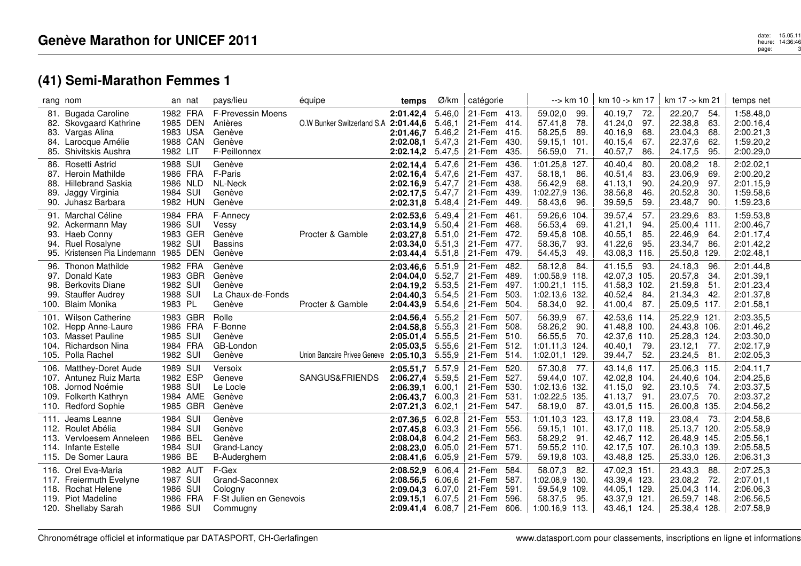# **(41) Semi-Marathon Femmes 1**

|                          | rang nom                                                                                                              |                                                          | an nat               | pays/lieu                                                                 | équipe                       | temps                                                                         | Ø/km                                           | catégorie                                                                               | --> km 10                                                                                    | km 10 -> km 17                                                                         | km 17 -> km 21                                                                         | temps net                                                     |
|--------------------------|-----------------------------------------------------------------------------------------------------------------------|----------------------------------------------------------|----------------------|---------------------------------------------------------------------------|------------------------------|-------------------------------------------------------------------------------|------------------------------------------------|-----------------------------------------------------------------------------------------|----------------------------------------------------------------------------------------------|----------------------------------------------------------------------------------------|----------------------------------------------------------------------------------------|---------------------------------------------------------------|
| 81.<br>82.<br>83.        | <b>Bugada Caroline</b><br>Skovgaard Kathrine<br>Vargas Alina<br>84. Larocque Amélie<br>85. Shivitskis Aushra          | 1982 FRA<br>1983 USA<br>1982 LIT                         | 1985 DEN<br>1988 CAN | F-Prevessin Moens<br>Anières<br>Genève<br>Genève<br>F-Peillonnex          | O.W Bunker Switzerland S.A   | 2:01.42,4<br>2:01.44,6<br>2:01.46.7<br>2:02.08.1<br>2:02.14,2                 | 5.46,0<br>5.46,1<br>5.46,2<br>5.47,3<br>5.47,5 | 21-Fem 413.<br>21-Fem 414.<br>21-Fem<br>415.<br>21-Fem<br>430.<br>435.<br>21-Fem        | 59.02,0<br>99.<br>57.41,8<br>78.<br>58.25,5<br>89.<br>59.15,1<br>101.<br>56.59,0<br>71.      | 40.19,7<br>72.<br>41.24,0<br>97.<br>40.16,9<br>68.<br>40.15,4<br>67.<br>40.57,7<br>86. | 22.20,7<br>54.<br>22.38,8<br>63.<br>23.04,3<br>68.<br>22.37,6<br>62.<br>24.17,5<br>95. | 1:58.48,0<br>2:00.16,4<br>2:00.21,3<br>1:59.20,2<br>2:00.29,0 |
| 87.<br>89.<br>90.        | 86. Rosetti Astrid<br>Heroin Mathilde<br>88. Hillebrand Saskia<br>Jaggy Virginia<br>Juhasz Barbara                    | 1988 SUI<br>1986 FRA<br>1986 NLD<br>1984 SUI             | 1982 HUN             | Genève<br>F-Paris<br><b>NL-Neck</b><br>Genève<br>Genève                   |                              | 2:02.14,4 5.47,6<br>2:02.16,4<br>2:02.16,9<br>2:02.17,5<br>2:02.31,8          | 5.47,6<br>5.47,7<br>5.47,7<br>5.48,4           | 21-Fem<br>436.<br>437.<br>21-Fem<br>438.<br>21-Fem<br>21-Fem<br>439.<br>21-Fem<br>449.  | 1:01.25,8<br>127.<br>58.18,1<br>86.<br>56.42,9<br>68.<br>1:02.27,9<br>136.<br>58.43,6<br>96. | 40.40,4<br>80.<br>40.51,4<br>83.<br>41.13,1<br>90.<br>38.56,8<br>46.<br>39.59,5<br>59. | 20.08,2<br>18.<br>23.06,9<br>69.<br>24.20,9<br>97.<br>20.52,8<br>30.<br>23.48,7<br>90. | 2:02.02,1<br>2:00.20,2<br>2:01.15,9<br>1:59.58,6<br>1:59.23,6 |
| 93.<br>95.               | 91. Marchal Céline<br>92. Ackermann May<br>Haeb Conny<br>94. Ruel Rosalyne<br>Kristensen Pia Lindemann                | 1984 FRA<br>1986 SUI<br>1982 SUI                         | 1983 GER<br>1985 DEN | F-Annecy<br>Vessy<br>Genève<br><b>Bassins</b><br>Genève                   | Procter & Gamble             | 2:02.53,6<br>2:03.14,9<br>2:03.27,8<br>2:03.34,0 5.51,3<br>2:03.44,4          | 5.49,4<br>5.50,4<br>5.51,0<br>5.51,8           | 21-Fem<br>461<br>468.<br>21-Fem<br>21-Fem<br>472.<br>21-Fem 477.<br>21-Fem<br>479.      | 59.26,6<br>104.<br>56.53,4<br>69.<br>59.45,8<br>108.<br>58.36,7<br>93.<br>54.45,3<br>49.     | 39.57,4<br>57.<br>41.21,1<br>94.<br>40.55,1<br>85.<br>41.22,6<br>95.<br>43.08,3 116.   | 23.29,6<br>83.<br>25.00,4 111.<br>22.46,9<br>64.<br>23.34,7<br>86.<br>25.50,8<br>129.  | 1:59.53,8<br>2:00.46,7<br>2:01.17,4<br>2:01.42,2<br>2:02.48,1 |
| 96.<br>97.<br>98.<br>99. | <b>Thonon Mathilde</b><br>Donald Kate<br><b>Berkovits Diane</b><br><b>Stauffer Audrey</b><br>100. Blaim Monika        | 1982 FRA<br>1982 SUI<br>1988 SUI<br>1983 PL              | 1983 GBR             | Genève<br>Genève<br>Genève<br>La Chaux-de-Fonds<br>Genève                 | Procter & Gamble             | 2:03.46.6<br>2:04.04,0<br>2:04.19.2<br>2:04.40,3<br>2:04.43,9                 | 5.51,9<br>5.52,7<br>5.53,5<br>5.54,5<br>5.54,6 | 21-Fem<br>482.<br>489.<br>21-Fem<br>21-Fem<br>497.<br>21-Fem<br>503.<br>504.<br>21-Fem  | 58.12,8<br>84.<br>1:00.58,9<br>118.<br>1:00.21,1 115.<br>1:02.13,6<br>132.<br>58.34,0<br>92. | 41.15,5<br>-93.<br>42.07,3 105.<br>41.58,3 102.<br>40.52,4<br>84.<br>41.00,4<br>- 87.  | 24.18,3<br>96.<br>20.57,8<br>34.<br>21.59,8<br>51.<br>21.34,3<br>42.<br>25.09,5 117.   | 2:01.44.8<br>2:01.39,1<br>2:01.23,4<br>2:01.37,8<br>2:01.58,1 |
| 101.<br>103.             | <b>Wilson Catherine</b><br>102. Hepp Anne-Laure<br><b>Masset Pauline</b><br>104. Richardson Nina<br>105. Polla Rachel | 1986 FRA<br>1985 SUI<br>1984 FRA<br>1982 SUI             | 1983 GBR             | Rolle<br>F-Bonne<br>Genève<br>GB-London<br>Genève                         | Union Bancaire Privee Geneve | 2:04.56,4<br>2:04.58.8<br>2:05.01.4<br>2:05.03,5<br>2:05.10,3                 | 5.55,2<br>5.55,3<br>5.55.5<br>5.55.6<br>5.55,9 | 21-Fem<br>507.<br>508.<br>21-Fem<br>510.<br>21-Fem<br>21-Fem<br>-512.<br>21-Fem<br>514. | 56.39,9<br>67.<br>58.26,2<br>90.<br>56.55,5<br>70.<br>1:01.11,3<br>124.<br>1:02.01,1<br>129. | 42.53,6 114.<br>41.48,8 100.<br>42.37,6 110.<br>40.40.1<br>-79.<br>52.<br>39.44,7      | 25.22,9 121<br>24.43,8 106.<br>25.28,3 124.<br>23.12,1<br>-77.<br>23.24,5<br>81.       | 2:03.35,5<br>2:01.46,2<br>2:03.30,0<br>2:02.17.9<br>2:02.05,3 |
| 106.<br>108.             | Matthey-Doret Aude<br>107. Antunez Ruiz Marta<br>Jornod Noémie<br>109. Folkerth Kathryn<br>110. Redford Sophie        | 1989 SUI<br>1982 ESP<br>1988 SUI                         | 1984 AME<br>1985 GBR | Versoix<br>Geneve<br>Le Locle<br>Genève<br>Genève                         | SANGUS&FRIENDS               | 2:05.51,7<br>2:06.27,4<br>2:06.39.1<br>2:06.43.7<br>2:07.21,3                 | 5.57,9<br>5.59.5<br>6.00,1<br>6.00,3<br>6.02,1 | 21-Fem<br>520.<br>527.<br>21-Fem<br>530.<br>21-Fem<br>531.<br>21-Fem<br>21-Fem<br>547.  | 57.30,8<br>-77.<br>59.44,0<br>107.<br>1:02.13,6 132.<br>1:02.22,5<br>-135.<br>58.19,0<br>87. | 43.14,6 117.<br>42.02,8 104.<br>41.15,0<br>92.<br>41.13,7 91.<br>43.01,5 115.          | 25.06,3 115.<br>24.40,6 104.<br>23.10,5<br>-74.<br>23.07,5<br>-70.<br>26.00,8 135.     | 2:04.11,7<br>2:04.25,6<br>2:03.37,5<br>2:03.37,2<br>2:04.56,2 |
|                          | 111. Jeams Leanne<br>112. Roulet Abélia<br>113. Vervloesem Anneleen<br>114. Infante Estelle<br>115. De Somer Laura    | 1984 SUI<br>1984 SUI<br>1986 BEL<br>1984 SUI<br>1986 BE  |                      | Genève<br>Genève<br>Genève<br>Grand-Lancy<br>B-Auderghem                  |                              | 2:07.36,5<br>2:07.45.8<br>2:08.04,8<br>2:08.23,0 6.05,0<br>2:08.41,6          | 6.02,8<br>6.03,3<br>6.04,2<br>6.05,9           | 21-Fem<br>553.<br>556.<br>21-Fem<br>563.<br>21-Fem<br>21-Fem<br>571.<br>21-Fem<br>579.  | 1:01.10,3 123.<br>59.15,1 101.<br>58.29,2<br>91.<br>59.55,2 110.<br>59.19,8 103.             | 43.17,8 119.<br>43.17,0 118.<br>42.46,7 112.<br>42.17,5 107.<br>43.48,8 125.           | 23.08,4<br>-73.<br>25.13,7 120.<br>26.48,9 145.<br>26.10,3 139.<br>25.33,0 126.        | 2:04.58,6<br>2:05.58,9<br>2:05.56,1<br>2:05.58,5<br>2:06.31,3 |
|                          | 116. Orel Eva-Maria<br>117. Freiermuth Evelyne<br>118. Rochat Helene<br>119. Piot Madeline<br>120. Shellaby Sarah     | 1982 AUT<br>1987 SUI<br>1986 SUI<br>1986 FRA<br>1986 SUI |                      | F-Gex<br>Grand-Saconnex<br>Cologny<br>F-St Julien en Genevois<br>Commugny |                              | 2:08.52,9<br>2:08.56,5<br>2:09.04,3<br>2:09.15,1<br>$2:09.41,4$ 6.08,7 21-Fem | 6.06,4<br>6.06,6<br>6.07.0<br>6.07.5           | 21-Fem<br>584.<br>587.<br>21-Fem<br>591.<br>21-Fem<br>21-Fem<br>596.<br>606.            | 58.07,3<br>-82.<br>1:02.08,9 130.<br>59.54,9<br>109.<br>58.37,5<br>95.<br>$1:00.16,9$ 113.   | 47.02,3 151<br>43.39,4 123.<br>44.05.1 129.<br>43.37,9 121.<br>43.46,1 124.            | 23.43,3<br>88.<br>23.08,2<br>-72.<br>25.04,3 114.<br>26.59,7 148.<br>25.38,4 128.      | 2:07.25,3<br>2:07.01,1<br>2:06.06,3<br>2:06.56,5<br>2:07.58,9 |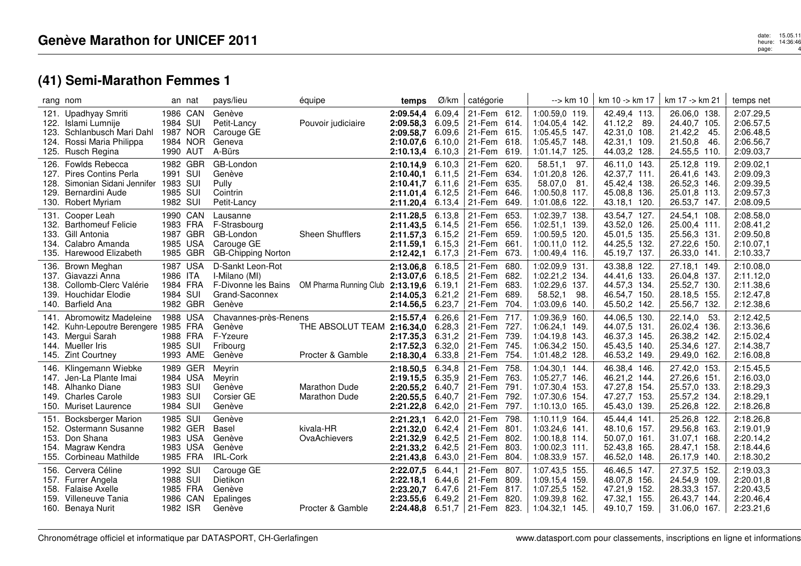#### date: 15.05.11<br>heure: 14:36:46<br>page: 14:36:46 page:4

## **(41) Semi-Marathon Femmes 1**

| rang nom                                                                                                                                      | an nat                                                   | pays/lieu                                                                        | équipe                                       | temps                                                                              | Ø/km                                           | catégorie                                                                                                | --> km 10                                                                                        | km 10 -> km 17                                                               | km 17 -> km 21                                                                    | temps net                                                     |
|-----------------------------------------------------------------------------------------------------------------------------------------------|----------------------------------------------------------|----------------------------------------------------------------------------------|----------------------------------------------|------------------------------------------------------------------------------------|------------------------------------------------|----------------------------------------------------------------------------------------------------------|--------------------------------------------------------------------------------------------------|------------------------------------------------------------------------------|-----------------------------------------------------------------------------------|---------------------------------------------------------------|
| 121. Upadhyay Smriti<br>122. Islami Lumnije<br>123. Schlanbusch Mari Dahl<br>124. Rossi Maria Philippa<br>125. Rusch Regina                   | 1986 CAN<br>1984 SUI<br>1987 NOR<br>1984 NOR<br>1990 AUT | Genève<br>Petit-Lancy<br>Carouge GE<br>Geneva<br>A-Bürs                          | Pouvoir judiciaire                           | 2:09.54.4<br>2:09.58,3<br>2:09.58,7<br>2:10.07,6<br>2:10.13,4                      | 6.09,4<br>6.09,5<br>6.09.6<br>6.10,0<br>6.10,3 | 21-Fem 612.<br>21-Fem 614.<br>21-Fem 615.<br>21-Fem 618.<br>21-Fem<br>619.                               | 1:00.59,0 119.<br>1:04.05.4 142.<br>1:05.45,5 147.<br>1:05.45,7 148.<br>1:01.14,7 125.           | 42.49,4 113.<br>41.12,2 89.<br>42.31,0 108.<br>42.31,1 109.<br>44.03,2 128.  | 26.06,0 138.<br>24.40,7 105.<br>21.42,2<br>-45.<br>21.50,8<br>46.<br>24.55,5 110. | 2:07.29,5<br>2:06.57,5<br>2:06.48,5<br>2:06.56,7<br>2:09.03,7 |
| 126. Fowlds Rebecca<br>127. Pires Contins Perla<br>Simonian Sidani Jennifer 1983 SUI<br>128.<br>129.<br>Bernardini Aude<br>130. Robert Myriam | 1982 GBR<br>1991 SUI<br>1985 SUI<br>1982 SUI             | GB-London<br>Genève<br>Pully<br>Cointrin<br>Petit-Lancy                          |                                              | 2:10.14,9 6.10,3<br>2:10.40,1<br>2:10.41.7<br>2:11.01,4 6.12,5<br>2:11.20,4 6.13,4 | 6.11.5<br>6.11.6                               | 21-Fem 620.<br>634.<br>21-Fem<br>635.<br>21-Fem<br>21-Fem<br>646.<br>21-Fem<br>649.                      | 58.51,1<br>97.<br>1:01.20,8<br>126.<br>58.07,0<br>81.<br>1:00.50,8<br>117.<br>1:01.08,6<br>-122. | 46.11,0 143.<br>42.37,7 111.<br>45.42,4 138.<br>45.08,8 136.<br>43.18,1 120. | 25.12,8 119.<br>26.41,6 143.<br>26.52,3 146.<br>25.01,8 113.<br>26.53,7 147.      | 2:09.02,1<br>2:09.09,3<br>2:09.39,5<br>2:09.57,3<br>2:08.09,5 |
| Cooper Leah<br>131.<br>132. Barthomeuf Felicie<br>133. Gill Antonia<br>134. Calabro Amanda<br>135. Harewood Elizabeth                         | 1990 CAN<br>1983 FRA<br>1987 GBR<br>1985 USA<br>1985 GBR | Lausanne<br>F-Strasbourg<br>GB-London<br>Carouge GE<br><b>GB-Chipping Norton</b> | Sheen Shufflers                              | 2:11.28,5<br>$2:11.43,5$ 6.14,5<br>2:11.57.3<br>2:11.59.1<br>2:12.42,1             | 6.13,8<br>6.15,2<br>6.15.3<br>6.17,3           | 21-Fem<br>653.<br>21-Fem<br>656.<br>659.<br>21-Fem<br>661.<br>21-Fem<br>21-Fem<br>673.                   | 1:02.39,7 138.<br>1:02.51.1 139.<br>1:00.59,5 120.<br>1:00.11,0 112.<br>1:00.49,4 116.           | 43.54,7 127.<br>43.52,0 126.<br>45.01,5 135.<br>44.25,5 132.<br>45.19,7 137. | 24.54,1 108.<br>25.00,4 111.<br>25.56,3 131.<br>27.22,6 150.<br>26.33,0 141.      | 2:08.58,0<br>2:08.41,2<br>2:09.50,8<br>2:10.07,1<br>2:10.33,7 |
| 136. Brown Meghan<br>137. Giavazzi Anna<br>138. Collomb-Clerc Valérie<br>139. Houchidar Elodie<br>140. Barfield Ana                           | 1987 USA<br>1986 ITA<br>1984 FRA<br>1984 SUI<br>1982 GBR | D-Sankt Leon-Rot<br>I-Milano (MI)<br>Grand-Saconnex<br>Genève                    | F-Divonne les Bains OM Pharma Running Club   | 2:13.06,8<br>2:13.07,6<br>2:13.19,6<br>2:14.05.3<br>2:14.56,5                      | 6.18,5<br>6.18,5<br>6.19.1<br>6.21,2<br>6.23,7 | 21-Fem<br>680.<br>21-Fem<br>682.<br>683.<br>21-Fem<br>21-Fem<br>689.<br>21-Fem<br>704.                   | 1:02.09,9 131.<br>1:02.21,2 134.<br>1:02.29,6 137.<br>58.52,1<br>-98.<br>1:03.09,6<br>140.       | 43.38,8 122.<br>44.41,6 133.<br>44.57,3 134.<br>46.54,7 150.<br>45.50,2 142. | 27.18,1 149.<br>26.04,8 137.<br>25.52,7 130.<br>28.18,5 155.<br>25.56,7 132.      | 2:10.08,0<br>2:11.12,0<br>2:11.38,6<br>2:12.47,8<br>2:12.38,6 |
| Abromowitz Madeleine<br>141.<br>142. Kuhn-Lepoutre Berengere 1985 FRA<br>143. Mergui Sarah<br>144. Mueller Iris<br>145. Zint Courtney         | 1988 USA<br>1988 FRA<br>1985 SUI<br>1993 AME             | Chavannes-près-Renens<br>Genève<br>F-Yzeure<br>Fribourg<br>Genève                | THE ABSOLUT TEAM<br>Procter & Gamble         | 2:15.57,4<br>2:16.34,0 6.28,3<br>2:17.35,3<br>2:17.52,3<br>2:18.30,4               | 6.26,6<br>6.31,2<br>6.32,0<br>6.33,8           | 21-Fem 717.<br>21-Fem 727.<br>21-Fem<br>739.<br>21-Fem<br>745.<br>21-Fem<br>754.                         | 1:09.36,9 160.<br>1:06.24,1 149.<br>1:04.19,8 143.<br>1:06.34,2 150.<br>1:01.48,2 128.           | 44.06,5 130.<br>44.07,5 131.<br>46.37,3 145.<br>45.43,5 140.<br>46.53,2 149. | 22.14,0<br>53.<br>26.02,4 136.<br>26.38,2 142.<br>25.34,6 127.<br>29.49,0 162.    | 2:12.42,5<br>2:13.36,6<br>2:15.02,4<br>2:14.38,7<br>2:16.08,8 |
| Klingemann Wiebke<br>146.<br>147. Jen-La Plante Imai<br>148. Alhanko Diane<br>149. Charles Carole<br>150. Muriset Laurence                    | 1989 GER<br>1984 USA<br>1983 SUI<br>1983 SUI<br>1984 SUI | Meyrin<br>Meyrin<br>Genève<br>Corsier GE<br>Genève                               | <b>Marathon Dude</b><br><b>Marathon Dude</b> | 2:18.50,5<br>2:19.15,5<br>2:20.55,2<br>2:20.55,5<br>2:21.22,8                      | 6.34,8<br>6.35,9<br>6.40,7<br>6.40.7<br>6.42,0 | 21-Fem<br>758.<br>21-Fem 763.<br>21-Fem<br>791.<br>21-Fem<br>792.<br>21-Fem<br>797.                      | 1:04.30,1 144.<br>1:05.27,7 146.<br>1:07.30,4 153.<br>1:07.30,6 154.<br>1:10.13.0 165.           | 46.38,4 146.<br>46.21,2 144.<br>47.27,8 154.<br>47.27,7 153.<br>45.43,0 139. | 27.42,0 153.<br>27.26,6 151.<br>25.57,0 133.<br>25.57,2 134.<br>25.26,8 122.      | 2:15.45,5<br>2:16.03,0<br>2:18.29,3<br>2:18.29,1<br>2:18.26,8 |
| <b>Bocksberger Marion</b><br>151.<br>152. Ostermann Susanne<br>Don Shana<br>153.<br>154. Magraw Kendra<br>155. Corbineau Mathilde             | 1985 SUI<br>1982 GER<br>1983 USA<br>1983 USA<br>1985 FRA | Genève<br><b>Basel</b><br>Genève<br>Genève<br>IRL-Cork                           | kivala-HR<br>OvaAchievers                    | 2:21.23,1<br>2:21.32,0<br>2:21.32,9<br>2:21.33,2<br>2:21.43,8                      | 6.42,0<br>6.42,4<br>6.42,5<br>6.42,5<br>6.43,0 | 21-Fem<br>798.<br>801.<br>21-Fem<br>21-Fem<br>802.<br>21-Fem<br>803.<br>804.<br>21-Fem                   | 1:10.11,9<br>164.<br>1:03.24,6 141.<br>1:00.18,8 114.<br>$1:00.02,3$ 111.<br>1:08.33,9 157.      | 45.44,4 141.<br>48.10.6 157.<br>50.07,0 161.<br>52.43,8 165.<br>46.52,0 148. | 25.26,8 122.<br>29.56,8 163.<br>31.07,1 168.<br>28.47,1 158.<br>26.17,9 140.      | 2:18.26,8<br>2:19.01,9<br>2:20.14,2<br>2:18.44,6<br>2:18.30,2 |
| 156. Cervera Céline<br>157. Furrer Angela<br>158. Falaise Axelle<br>159. Villeneuve Tania<br>160. Benaya Nurit                                | 1992 SUI<br>1988 SUI<br>1985 FRA<br>1986 CAN<br>1982 ISR | Carouge GE<br>Dietikon<br>Genève<br>Epalinges<br>Genève                          | Procter & Gamble                             | 2:22.07,5<br>2:22.18.1<br>2:23.20.7<br>2:23.55.6                                   | 6.44,1<br>6.44,6<br>6.47,6<br>6.49,2           | 21-Fem 807.<br>809.<br>21-Fem<br>21-Fem<br>817.<br>21-Fem<br>820.<br><b>2:24.48,8</b> 6.51,7 21-Fem 823. | 1:07.43,5 155.<br>1:09.15,4 159.<br>1:07.25,5 152.<br>1:09.39,8<br>162.<br>1:04.32,1 145.        | 46.46,5 147.<br>48.07,8 156.<br>47.21,9 152.<br>47.32,1 155.<br>49.10,7 159. | 27.37,5 152.<br>24.54,9 109.<br>28.33,3 157.<br>26.43,7 144.<br>31.06,0 167.      | 2:19.03.3<br>2:20.01,8<br>2:20.43,5<br>2:20.46.4<br>2:23.21,6 |